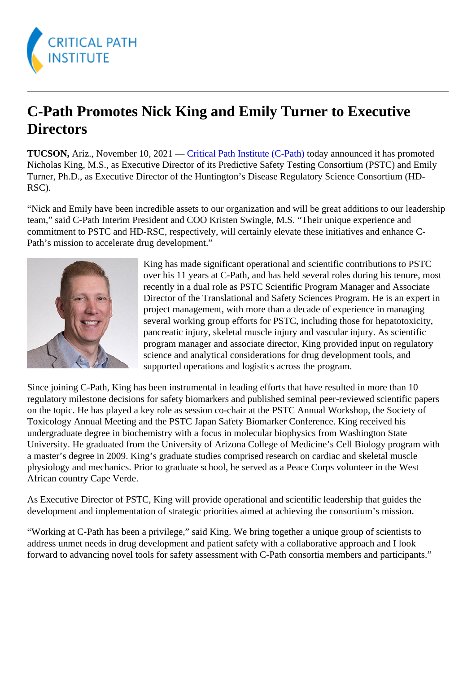## C-Path Promotes Nick King and Emily Turner to Executive **Directors**

TUCSON,Ariz., November 10, 2021 - Gritical Path Institute (C-Pathoday announced it has promoted Nicholas King, M.S., as Executive Director of its Predictive Safety Testing Consortium (PSTC) and Emily Turner, Ph.D., as Executive Director of the Huntington's Disease Regulatory Science Consortium (HD-RSC).

"Nick and Emily have been incredible assets to our organization and will be great additions to our leadershipped team," said C-Path Interim President and COO Kristen Swingle, M.S. "Their unique experience and commitment to PSTC and HD-RSC, respectively, will certainly elevate these initiatives and enhance C-Path's mission to accelerate drug development."

> King has made significant operational and scientific contributions to PSTC over his 11 years at C-Path, and has held several roles during his tenure, most recently in a dual role as PSTC Scientific Program Manager and Associate Director of the Translational and Safety Sciences Program. He is an expert in project management, with more than a decade of experience in managing several working group efforts for PSTC, including those for hepatotoxicity, pancreatic injury, skeletal muscle injury and vascular injury. As scientific program manager and associate director, King provided input on regulatory science and analytical considerations for drug development tools, and supported operations and logistics across the program.

Since joining C-Path, King has been instrumental in leading efforts that have resulted in more than 10 regulatory milestone decisions for safety biomarkers and published seminal peer-reviewed scientific paper on the topic. He has played a key role as session co-chair at the PSTC Annual Workshop, the Society of Toxicology Annual Meeting and the PSTC Japan Safety Biomarker Conference. King received his undergraduate degree in biochemistry with a focus in molecular biophysics from Washington State University. He graduated from the University of Arizona College of Medicine's Cell Biology program with a master's degree in 2009. King's graduate studies comprised research on cardiac and skeletal muscle physiology and mechanics. Prior to graduate school, he served as a Peace Corps volunteer in the West African country Cape Verde.

As Executive Director of PSTC, King will provide operational and scientific leadership that guides the development and implementation of strategic priorities aimed at achieving the consortium's mission.

"Working at C-Path has been a privilege," said King. We bring together a unique group of scientists to address unmet needs in drug development and patient safety with a collaborative approach and I look forward to advancing novel tools for safety assessment with C-Path consortia members and participants."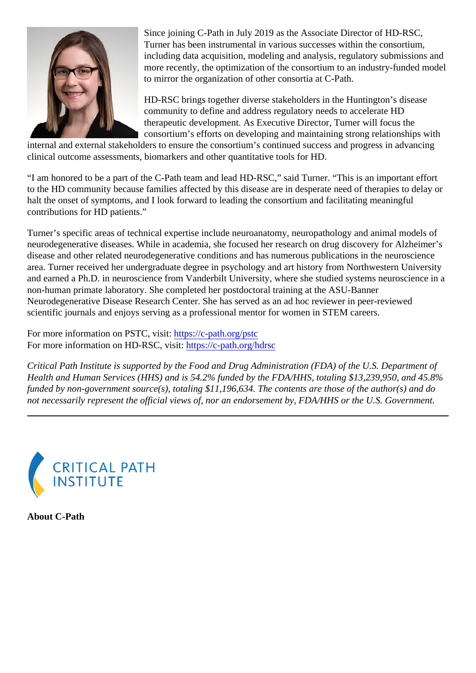Since joining C-Path in July 2019 as the Associate Director of HD-RSC, Turner has been instrumental in various successes within the consortium, including data acquisition, modeling and analysis, regulatory submissions and more recently, the optimization of the consortium to an industry-funded model to mirror the organization of other consortia at C-Path.

HD-RSC brings together diverse stakeholders in the Huntington's disease community to define and address regulatory needs to accelerate HD therapeutic development. As Executive Director, Turner will focus the consortium's efforts on developing and maintaining strong relationships with

internal and external stakeholders to ensure the consortium's continued success and progress in advancing clinical outcome assessments, biomarkers and other quantitative tools for HD.

"I am honored to be a part of the C-Path team and lead HD-RSC," said Turner. "This is an important effort to the HD community because families affected by this disease are in desperate need of therapies to delay halt the onset of symptoms, and I look forward to leading the consortium and facilitating meaningful contributions for HD patients."

Turner's specific areas of technical expertise include neuroanatomy, neuropathology and animal models of neurodegenerative diseases. While in academia, she focused her research on drug discovery for Alzheim disease and other related neurodegenerative conditions and has numerous publications in the neuroscien area. Turner received her undergraduate degree in psychology and art history from Northwestern University and earned a Ph.D. in neuroscience from Vanderbilt University, where she studied systems neuroscience non-human primate laboratory. She completed her postdoctoral training at the ASU-Banner Neurodegenerative Disease Research Center. She has served as an ad hoc reviewer in peer-reviewed scientific journals and enjoys serving as a professional mentor for women in STEM careers.

For more information on PSTC, visitttps://c-path.org/pstc For more information on HD-RSC, visitttps://c-path.org/hdrsc

Critical Path Institute is supported by the Food and Drug Administration (FDA) of the U.S. Department of Health and Human Services (HHS) and is 54.2% funded by the FDA/HHS, totaling \$13,239,950, and 45.8% funded by non-government source(s), totaling \$11,196,634. The contents are those of the author(s) and d not necessarily represent the official views of, nor an endorsement by, FDA/HHS or the U.S. Government.

About C-Path